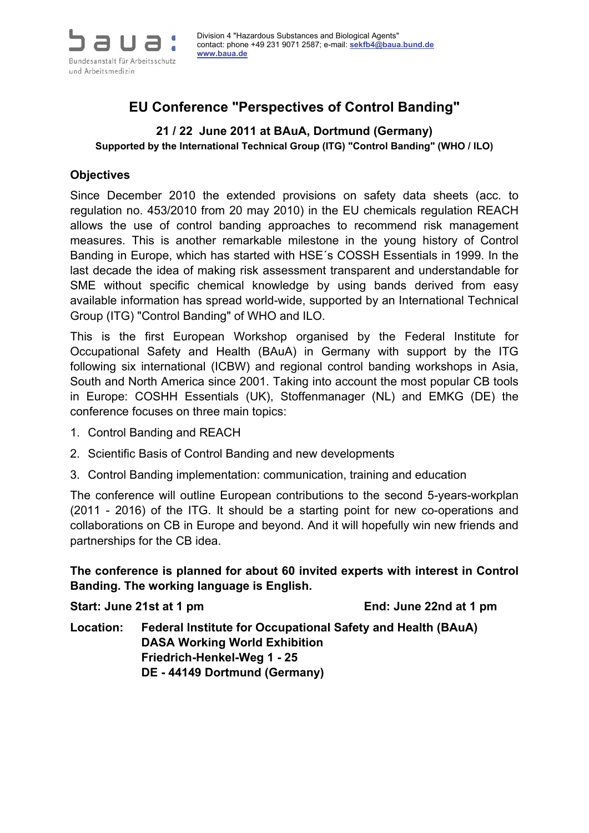

# **EU Conference "Perspectives of Control Banding"**

# **21 / 22 June 2011 at BAuA, Dortmund (Germany)**

**Supported by the International Technical Group (ITG) "Control Banding" (WHO / ILO)** 

#### **Objectives**

Since December 2010 the extended provisions on safety data sheets (acc. to regulation no. 453/2010 from 20 may 2010) in the EU chemicals regulation REACH allows the use of control banding approaches to recommend risk management measures. This is another remarkable milestone in the young history of Control Banding in Europe, which has started with HSE´s COSSH Essentials in 1999. In the last decade the idea of making risk assessment transparent and understandable for SME without specific chemical knowledge by using bands derived from easy available information has spread world-wide, supported by an International Technical Group (ITG) "Control Banding" of WHO and ILO.

This is the first European Workshop organised by the Federal Institute for Occupational Safety and Health (BAuA) in Germany with support by the ITG following six international (ICBW) and regional control banding workshops in Asia, South and North America since 2001. Taking into account the most popular CB tools in Europe: COSHH Essentials (UK), Stoffenmanager (NL) and EMKG (DE) the conference focuses on three main topics:

- 1. Control Banding and REACH
- 2. Scientific Basis of Control Banding and new developments
- 3. Control Banding implementation: communication, training and education

The conference will outline European contributions to the second 5-years-workplan (2011 - 2016) of the ITG. It should be a starting point for new co-operations and collaborations on CB in Europe and beyond. And it will hopefully win new friends and partnerships for the CB idea.

**The conference is planned for about 60 invited experts with interest in Control Banding. The working language is English.** 

Start: June 21st at 1 pm **End: June 22nd at 1 pm** 

**Location: Federal Institute for Occupational Safety and Health (BAuA) DASA Working World Exhibition Friedrich-Henkel-Weg 1 - 25 DE - 44149 Dortmund (Germany)**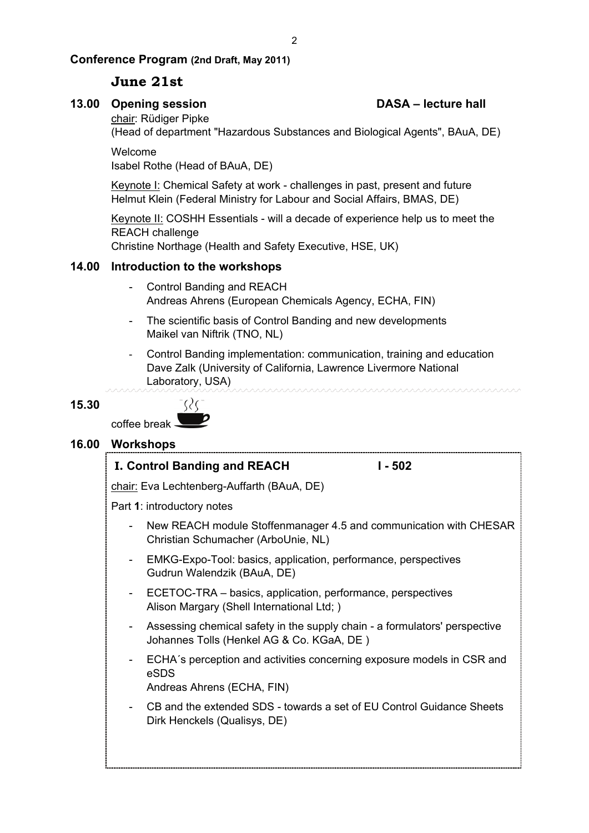#### **Conference Program (2nd Draft, May 2011)**

#### **June 21st**

#### 13.00 Opening session **DASA – lecture hall**

chair: Rüdiger Pipke

(Head of department "Hazardous Substances and Biological Agents", BAuA, DE)

Welcome Isabel Rothe (Head of BAuA, DE)

Keynote I: Chemical Safety at work - challenges in past, present and future Helmut Klein (Federal Ministry for Labour and Social Affairs, BMAS, DE)

Keynote II: COSHH Essentials - will a decade of experience help us to meet the REACH challenge

Christine Northage (Health and Safety Executive, HSE, UK)

#### **14.00 Introduction to the workshops**

- Control Banding and REACH Andreas Ahrens (European Chemicals Agency, ECHA, FIN)
- The scientific basis of Control Banding and new developments Maikel van Niftrik (TNO, NL)
- Control Banding implementation: communication, training and education Dave Zalk (University of California, Lawrence Livermore National Laboratory, USA)

#### **15.30**

coffee break

### **16.00 Workshops**

#### **I. Control Banding and REACH I - 502**

 $\Omega$ 

chair: Eva Lechtenberg-Auffarth (BAuA, DE)

Part **1**: introductory notes

- New REACH module Stoffenmanager 4.5 and communication with CHESAR Christian Schumacher (ArboUnie, NL)
- EMKG-Expo-Tool: basics, application, performance, perspectives Gudrun Walendzik (BAuA, DE)
- ECETOC-TRA basics, application, performance, perspectives Alison Margary (Shell International Ltd; )
- Assessing chemical safety in the supply chain a formulators' perspective Johannes Tolls (Henkel AG & Co. KGaA, DE )
- ECHA´s perception and activities concerning exposure models in CSR and eSDS
	- Andreas Ahrens (ECHA, FIN)
- CB and the extended SDS towards a set of EU Control Guidance Sheets Dirk Henckels (Qualisys, DE)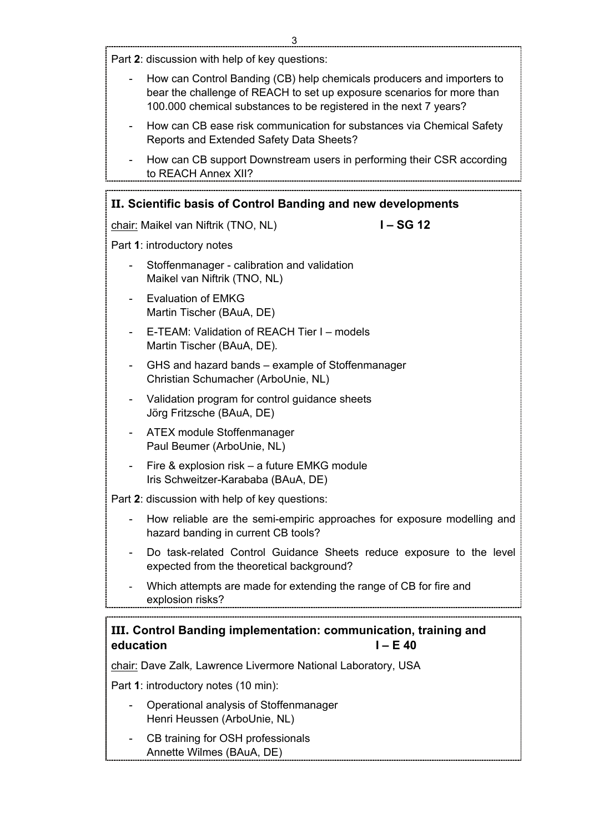L

|           | Part 2: discussion with help of key questions:                                                                                                                                                                        |
|-----------|-----------------------------------------------------------------------------------------------------------------------------------------------------------------------------------------------------------------------|
|           | How can Control Banding (CB) help chemicals producers and importers to<br>bear the challenge of REACH to set up exposure scenarios for more than<br>100.000 chemical substances to be registered in the next 7 years? |
|           | How can CB ease risk communication for substances via Chemical Safety<br>Reports and Extended Safety Data Sheets?                                                                                                     |
|           | How can CB support Downstream users in performing their CSR according<br>to REACH Annex XII?                                                                                                                          |
|           | II. Scientific basis of Control Banding and new developments                                                                                                                                                          |
|           | $I - SG 12$<br>chair: Maikel van Niftrik (TNO, NL)                                                                                                                                                                    |
|           | Part 1: introductory notes                                                                                                                                                                                            |
|           | Stoffenmanager - calibration and validation<br>Maikel van Niftrik (TNO, NL)                                                                                                                                           |
|           | <b>Evaluation of EMKG</b><br>Martin Tischer (BAuA, DE)                                                                                                                                                                |
|           | E-TEAM: Validation of REACH Tier I - models<br>Martin Tischer (BAuA, DE).                                                                                                                                             |
|           | GHS and hazard bands – example of Stoffenmanager<br>Christian Schumacher (ArboUnie, NL)                                                                                                                               |
|           | Validation program for control guidance sheets<br>Jörg Fritzsche (BAuA, DE)                                                                                                                                           |
|           | <b>ATEX module Stoffenmanager</b><br>Paul Beumer (ArboUnie, NL)                                                                                                                                                       |
|           | Fire & explosion risk – a future EMKG module<br>Iris Schweitzer-Karababa (BAuA, DE)                                                                                                                                   |
|           | Part 2: discussion with help of key questions:                                                                                                                                                                        |
|           | How reliable are the semi-empiric approaches for exposure modelling and<br>hazard banding in current CB tools?                                                                                                        |
|           | Do task-related Control Guidance Sheets reduce exposure to the level<br>expected from the theoretical background?                                                                                                     |
|           | Which attempts are made for extending the range of CB for fire and<br>explosion risks?                                                                                                                                |
|           | III. Control Banding implementation: communication, training and                                                                                                                                                      |
| education | $I - E$ 40                                                                                                                                                                                                            |
|           | chair: Dave Zalk, Lawrence Livermore National Laboratory, USA                                                                                                                                                         |
|           | Part 1: introductory notes (10 min):                                                                                                                                                                                  |
|           | Operational analysis of Stoffenmanager<br>Henri Heussen (ArboUnie, NL)                                                                                                                                                |

- CB training for OSH professionals Annette Wilmes (BAuA, DE)